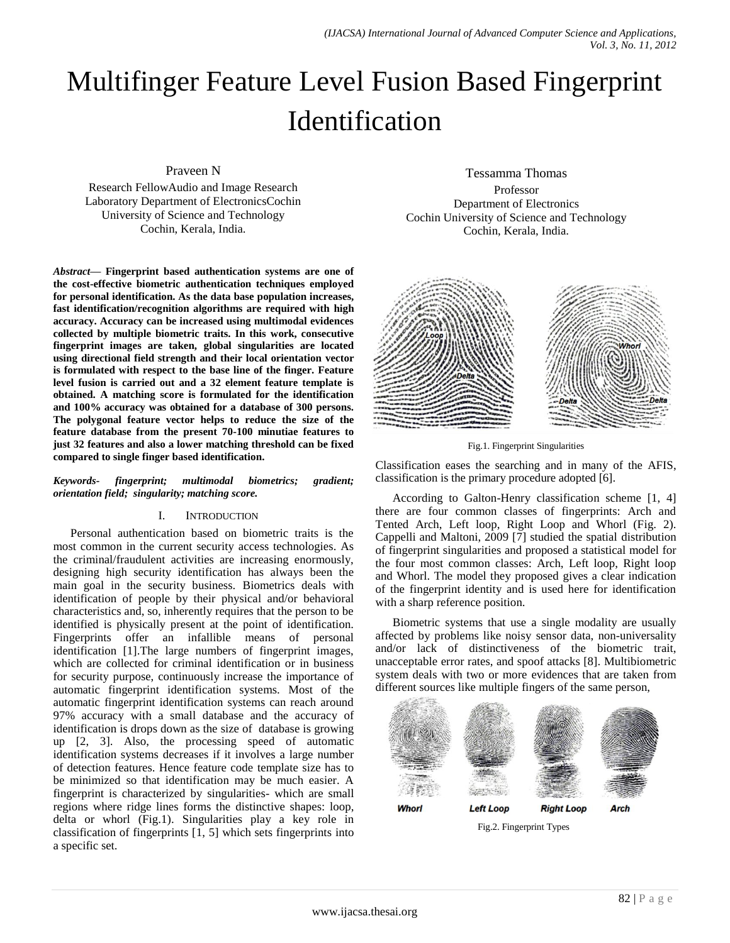# Multifinger Feature Level Fusion Based Fingerprint Identification

Praveen N

Research FellowAudio and Image Research Laboratory Department of ElectronicsCochin University of Science and Technology Cochin, Kerala, India.

*Abstract***— Fingerprint based authentication systems are one of the cost-effective biometric authentication techniques employed for personal identification. As the data base population increases, fast identification/recognition algorithms are required with high accuracy. Accuracy can be increased using multimodal evidences collected by multiple biometric traits. In this work, consecutive fingerprint images are taken, global singularities are located using directional field strength and their local orientation vector is formulated with respect to the base line of the finger. Feature level fusion is carried out and a 32 element feature template is obtained. A matching score is formulated for the identification and 100% accuracy was obtained for a database of 300 persons. The polygonal feature vector helps to reduce the size of the feature database from the present 70-100 minutiae features to just 32 features and also a lower matching threshold can be fixed compared to single finger based identification.**

*Keywords- fingerprint; multimodal biometrics; gradient; orientation field; singularity; matching score.*

## I. INTRODUCTION

Personal authentication based on biometric traits is the most common in the current security access technologies. As the criminal/fraudulent activities are increasing enormously, designing high security identification has always been the main goal in the security business. Biometrics deals with identification of people by their physical and/or behavioral characteristics and, so, inherently requires that the person to be identified is physically present at the point of identification. Fingerprints offer an infallible means of personal identification [1].The large numbers of fingerprint images, which are collected for criminal identification or in business for security purpose, continuously increase the importance of automatic fingerprint identification systems. Most of the automatic fingerprint identification systems can reach around 97% accuracy with a small database and the accuracy of identification is drops down as the size of database is growing up [2, 3]. Also, the processing speed of automatic identification systems decreases if it involves a large number of detection features. Hence feature code template size has to be minimized so that identification may be much easier. A fingerprint is characterized by singularities- which are small regions where ridge lines forms the distinctive shapes: loop, delta or whorl (Fig.1). Singularities play a key role in classification of fingerprints [1, 5] which sets fingerprints into a specific set.

Tessamma Thomas Professor Department of Electronics Cochin University of Science and Technology Cochin, Kerala, India.



Fig.1. Fingerprint Singularities

Classification eases the searching and in many of the AFIS, classification is the primary procedure adopted [6].

According to Galton-Henry classification scheme [1, 4] there are four common classes of fingerprints: Arch and Tented Arch, Left loop, Right Loop and Whorl (Fig. 2). Cappelli and Maltoni, 2009 [7] studied the spatial distribution of fingerprint singularities and proposed a statistical model for the four most common classes: Arch, Left loop, Right loop and Whorl. The model they proposed gives a clear indication of the fingerprint identity and is used here for identification with a sharp reference position.

Biometric systems that use a single modality are usually affected by problems like noisy sensor data, non-universality and/or lack of distinctiveness of the biometric trait, unacceptable error rates, and spoof attacks [8]. Multibiometric system deals with two or more evidences that are taken from different sources like multiple fingers of the same person,



Fig.2. Fingerprint Types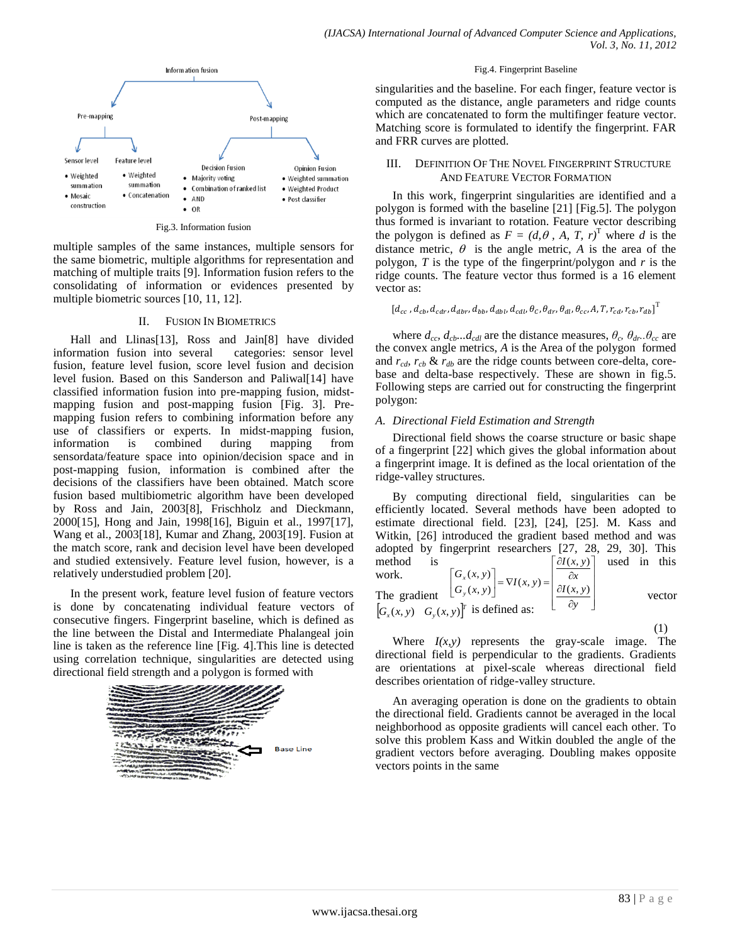

Fig.3. Information fusion

multiple samples of the same instances, multiple sensors for the same biometric, multiple algorithms for representation and matching of multiple traits [9]. Information fusion refers to the consolidating of information or evidences presented by multiple biometric sources [10, 11, 12].

## II. FUSION IN BIOMETRICS

Hall and Llinas[13], Ross and Jain[8] have divided information fusion into several categories: sensor level fusion, feature level fusion, score level fusion and decision level fusion. Based on this Sanderson and Paliwal[14] have classified information fusion into pre-mapping fusion, midstmapping fusion and post-mapping fusion [Fig. 3]. Premapping fusion refers to combining information before any use of classifiers or experts. In midst-mapping fusion, information is combined during mapping from sensordata/feature space into opinion/decision space and in post-mapping fusion, information is combined after the decisions of the classifiers have been obtained. Match score fusion based multibiometric algorithm have been developed by Ross and Jain, 2003[8], Frischholz and Dieckmann, 2000[15], Hong and Jain, 1998[16], Biguin et al., 1997[17], Wang et al., 2003[18], Kumar and Zhang, 2003[19]. Fusion at the match score, rank and decision level have been developed and studied extensively. Feature level fusion, however, is a relatively understudied problem [20].

In the present work, feature level fusion of feature vectors is done by concatenating individual feature vectors of consecutive fingers. Fingerprint baseline, which is defined as the line between the Distal and Intermediate Phalangeal join line is taken as the reference line [Fig. 4].This line is detected using correlation technique, singularities are detected using directional field strength and a polygon is formed with



#### Fig.4. Fingerprint Baseline

singularities and the baseline. For each finger, feature vector is computed as the distance, angle parameters and ridge counts which are concatenated to form the multifinger feature vector. Matching score is formulated to identify the fingerprint. FAR and FRR curves are plotted.

## III. DEFINITION OF THE NOVEL FINGERPRINT STRUCTURE AND FEATURE VECTOR FORMATION

In this work, fingerprint singularities are identified and a polygon is formed with the baseline [21] [Fig.5]. The polygon thus formed is invariant to rotation. Feature vector describing the polygon is defined as  $F = (d, \theta, A, T, r)^T$  where *d* is the distance metric,  $\theta$  is the angle metric, *A* is the area of the polygon, *T* is the type of the fingerprint/polygon and *r* is the ridge counts. The feature vector thus formed is a 16 element vector as:

$$
[d_{cc}, d_{cb}, d_{cdr}, d_{dbr}, d_{bb}, d_{dbl}, d_{cdl}, \theta_c, \theta_{dr}, \theta_{dl}, \theta_{cc}, A, T, r_{cd}, r_{cb}, r_{db}]^T
$$

where  $d_{cc}$ ,  $d_{cb}$ ... $d_{cdl}$  are the distance measures,  $\theta_c$ ,  $\theta_{dr}$ .. $\theta_{cc}$  are the convex angle metrics, *A* is the Area of the polygon formed and  $r_{cdb}$ ,  $r_{cb}$  &  $r_{db}$  are the ridge counts between core-delta, corebase and delta-base respectively. These are shown in fig.5. Following steps are carried out for constructing the fingerprint polygon:

#### *A. Directional Field Estimation and Strength*

Directional field shows the coarse structure or basic shape of a fingerprint [22] which gives the global information about a fingerprint image. It is defined as the local orientation of the ridge-valley structures.

By computing directional field, singularities can be efficiently located. Several methods have been adopted to estimate directional field. [23], [24], [25]. M. Kass and Witkin, [26] introduced the gradient based method and was adopted by fingerprint researchers [27, 28, 29, 30]. This method is  $\lceil \partial I(x, y) \rceil$  used in this work. The gradient  $\lfloor \frac{G_y(x, y)}{g} \rfloor$  vector  $[G_x(x, y) \ G_y(x, y)]^T$  is defined as:  $\overline{\phantom{a}}$  $\overline{\phantom{a}}$  $\overline{\phantom{a}}$  $\overline{\phantom{a}}$ 」  $\lceil \partial I(x, y) \rceil$  $\mathbf{I}$ Ŀ  $\int$  *aI*(*x*, *y*)  $\vert \cdot$ L ð, *x*  $\bigg= \nabla I(x, y) =$  $\overline{\phantom{a}}$ ŀ  $\begin{bmatrix} G_x(x, y) \\ G_y(x, y) \end{bmatrix} = \nabla I(x, y)$ *y y*  $\left|\nabla$ <sup>x(x, y)</sup>  $\left|\nabla$ *I*(x, y)  $\left|\nabla$  $(x, y)$ 

 (1) Where  $I(x, y)$  represents the gray-scale image. The directional field is perpendicular to the gradients. Gradients are orientations at pixel-scale whereas directional field describes orientation of ridge-valley structure.

An averaging operation is done on the gradients to obtain the directional field. Gradients cannot be averaged in the local neighborhood as opposite gradients will cancel each other. To solve this problem Kass and Witkin doubled the angle of the gradient vectors before averaging. Doubling makes opposite vectors points in the same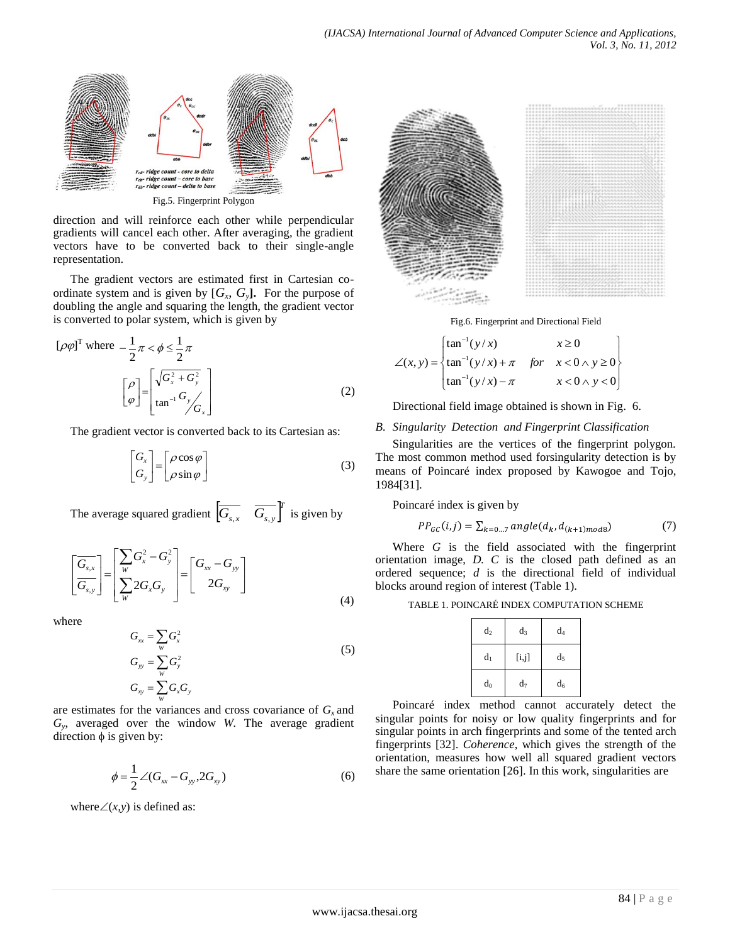

direction and will reinforce each other while perpendicular gradients will cancel each other. After averaging, the gradient vectors have to be converted back to their single-angle representation.

The gradient vectors are estimated first in Cartesian coordinate system and is given by  $[G_x, G_y]$ . For the purpose of doubling the angle and squaring the length, the gradient vector is converted to polar system, which is given by

$$
\left[\rho\varphi\right]^{\text{T}} \text{ where } -\frac{1}{2}\pi < \phi \le \frac{1}{2}\pi
$$
\n
$$
\left[\rho\right] = \left[\sqrt{G_x^2 + G_y^2}\right] \qquad (2)
$$

The gradient vector is converted back to its Cartesian as:

$$
\begin{bmatrix} G_x \\ G_y \end{bmatrix} = \begin{bmatrix} \rho \cos \varphi \\ \rho \sin \varphi \end{bmatrix}
$$
 (3)

The average squared gradient  $\begin{bmatrix} \overline{G_{s,x}} & \overline{G_{s,y}} \end{bmatrix}^T$  is given by

$$
\left[\frac{\overline{G_{s,x}}}{\overline{G_{s,y}}}\right] = \left[\frac{\sum_{W} G_x^2 - G_y^2}{\sum_{W} 2G_x G_y}\right] = \left[\frac{G_{xx} - G_{yy}}{2G_{xy}}\right]
$$
\n(4)

where

$$
G_{xx} = \sum_{w} G_{x}^{2}
$$
  
\n
$$
G_{yy} = \sum_{w} G_{y}^{2}
$$
  
\n
$$
G_{xy} = \sum_{w} G_{x} G_{y}
$$
  
\n(5)

are estimates for the variances and cross covariance of  $G<sub>x</sub>$  and  $G_y$ , averaged over the window *W*. The average gradient direction  $\phi$  is given by:

$$
\phi = \frac{1}{2} \angle (G_{xx} - G_{yy}, 2G_{xy})
$$
\n(6)

where  $\angle(x, y)$  is defined as:



Fig.6. Fingerprint and Directional Field

$$
\angle(x, y) = \begin{cases} \tan^{-1}(y/x) & x \ge 0 \\ \tan^{-1}(y/x) + \pi & \text{for } x < 0 \land y \ge 0 \\ \tan^{-1}(y/x) - \pi & x < 0 \land y < 0 \end{cases}
$$

Directional field image obtained is shown in Fig. 6.

## *B. Singularity Detection and Fingerprint Classification*

Singularities are the vertices of the fingerprint polygon. The most common method used forsingularity detection is by means of Poincaré index proposed by Kawogoe and Tojo, 1984[31].

Poincaré index is given by

$$
PP_{GC}(i,j) = \sum_{k=0...7} angle(d_k, d_{(k+1)mod8})
$$
 (7)

Where *G* is the field associated with the fingerprint orientation image, *D. C* is the closed path defined as an ordered sequence; *d* is the directional field of individual blocks around region of interest (Table 1).

TABLE 1. POINCARÉ INDEX COMPUTATION SCHEME

| $d_2$ | $d_3$ | $d_4$          |
|-------|-------|----------------|
| $d_1$ | [i,j] | d <sub>5</sub> |
| $d_0$ | $d_7$ | $d_6$          |

Poincaré index method cannot accurately detect the singular points for noisy or low quality fingerprints and for singular points in arch fingerprints and some of the tented arch fingerprints [32]. *Coherence*, which gives the strength of the orientation, measures how well all squared gradient vectors share the same orientation [26]. In this work, singularities are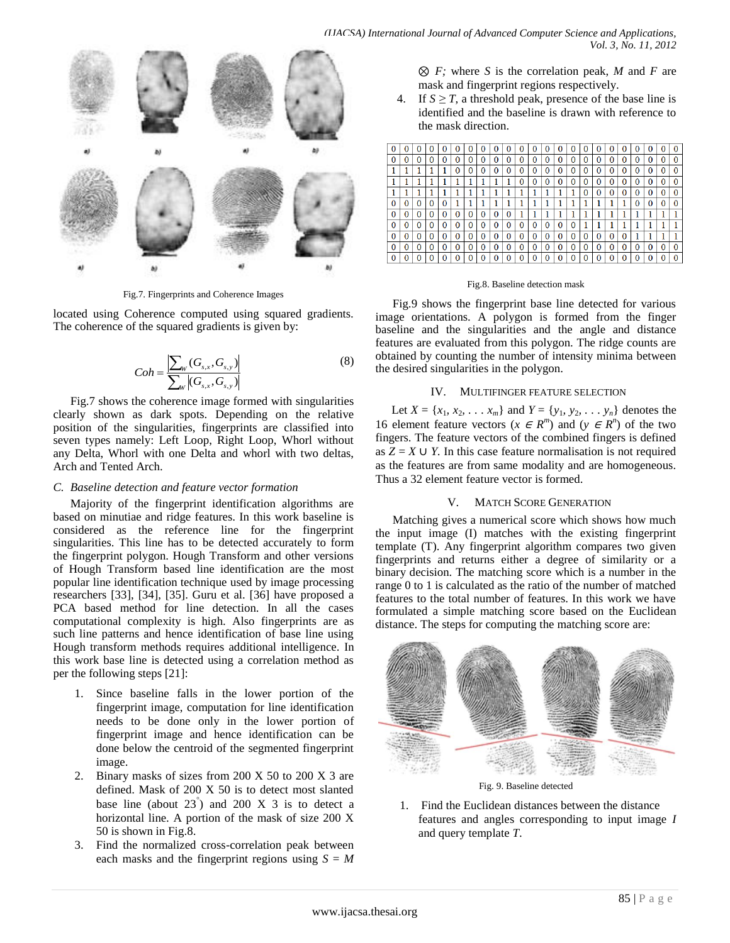

Fig.7. Fingerprints and Coherence Images

located using Coherence computed using squared gradients. The coherence of the squared gradients is given by:

$$
Coh = \frac{\left| \sum_{w} (G_{s,x}, G_{s,y}) \right|}{\sum_{w} |(G_{s,x}, G_{s,y})|}
$$
(8)

Fig.7 shows the coherence image formed with singularities clearly shown as dark spots. Depending on the relative position of the singularities, fingerprints are classified into seven types namely: Left Loop, Right Loop, Whorl without any Delta, Whorl with one Delta and whorl with two deltas, Arch and Tented Arch.

#### *C. Baseline detection and feature vector formation*

Majority of the fingerprint identification algorithms are based on minutiae and ridge features. In this work baseline is considered as the reference line for the fingerprint singularities. This line has to be detected accurately to form the fingerprint polygon. Hough Transform and other versions of Hough Transform based line identification are the most popular line identification technique used by image processing researchers [33], [34], [35]. Guru et al. [36] have proposed a PCA based method for line detection. In all the cases computational complexity is high. Also fingerprints are as such line patterns and hence identification of base line using Hough transform methods requires additional intelligence. In this work base line is detected using a correlation method as per the following steps [21]:

- 1. Since baseline falls in the lower portion of the fingerprint image, computation for line identification needs to be done only in the lower portion of fingerprint image and hence identification can be done below the centroid of the segmented fingerprint image.
- 2. Binary masks of sizes from 200 X 50 to 200 X 3 are defined. Mask of 200 X 50 is to detect most slanted base line (about  $23^{\degree}$ ) and  $200 \text{ X } 3$  is to detect a horizontal line. A portion of the mask of size 200 X 50 is shown in Fig.8.
- 3. Find the normalized cross-correlation peak between each masks and the fingerprint regions using  $S = M$

⊗ *F;* where *S* is the correlation peak, *M* and *F* are mask and fingerprint regions respectively.

4. If  $S \geq T$ , a threshold peak, presence of the base line is identified and the baseline is drawn with reference to the mask direction.

| $\bf{0}$ |   |   |   |   |   |   |   |   |   |   |   |   |   |   |   |   |   |   |   |   |   |
|----------|---|---|---|---|---|---|---|---|---|---|---|---|---|---|---|---|---|---|---|---|---|
| 0        |   |   |   |   |   |   |   |   |   |   |   |   |   | D |   |   |   |   | 0 | 0 |   |
|          |   |   |   | 0 | 0 | 0 | 0 | 0 | 0 |   | 0 | 0 |   | 0 |   | 0 | 0 | 0 | 0 | 0 |   |
|          |   |   |   |   |   |   |   |   |   |   |   |   |   | 0 |   |   |   |   |   |   |   |
|          |   |   |   |   |   |   |   |   |   |   |   |   |   | 0 |   | 0 |   |   | 0 | 0 |   |
| 0        |   |   |   |   |   |   |   |   |   |   |   |   |   |   |   |   |   |   |   | 0 |   |
| 0        | 0 | 0 |   |   |   |   |   |   |   |   |   |   |   |   |   |   |   |   |   |   |   |
| 0        | 0 | 0 | 0 | 0 | 0 | 0 | 0 | 0 | O | 0 | 0 | U |   |   |   |   |   |   |   |   |   |
| 0        | 0 | 0 | 0 | 0 | 0 | 0 | 0 | O | 0 | U | O | 0 |   | 0 | 0 | 0 | 0 |   |   |   |   |
| 0        | 0 | 0 | 0 | 0 | 0 | 0 | 0 | 0 | 0 | 0 | 0 | 0 | O | 0 |   | 0 | 0 | 0 | 0 | 0 | 0 |
| 0        | 0 | 0 | 0 |   |   |   |   |   | 0 |   |   |   |   | 0 |   |   |   |   | 0 |   |   |

#### Fig.8. Baseline detection mask

Fig.9 shows the fingerprint base line detected for various image orientations. A polygon is formed from the finger baseline and the singularities and the angle and distance features are evaluated from this polygon. The ridge counts are obtained by counting the number of intensity minima between the desired singularities in the polygon.

#### IV. MULTIFINGER FEATURE SELECTION

Let *X* = { $x_1, x_2, \ldots, x_m$ } and *Y* = { $y_1, y_2, \ldots, y_n$ } denotes the 16 element feature vectors ( $x \in R^m$ ) and ( $y \in R^n$ ) of the two fingers. The feature vectors of the combined fingers is defined as  $Z = X \cup Y$ . In this case feature normalisation is not required as the features are from same modality and are homogeneous. Thus a 32 element feature vector is formed.

#### V. MATCH SCORE GENERATION

Matching gives a numerical score which shows how much the input image (I) matches with the existing fingerprint template (T). Any fingerprint algorithm compares two given fingerprints and returns either a degree of similarity or a binary decision. The matching score which is a number in the range 0 to 1 is calculated as the ratio of the number of matched features to the total number of features. In this work we have formulated a simple matching score based on the Euclidean distance. The steps for computing the matching score are:



Fig. 9. Baseline detected

1. Find the Euclidean distances between the distance features and angles corresponding to input image *I* and query template *T*.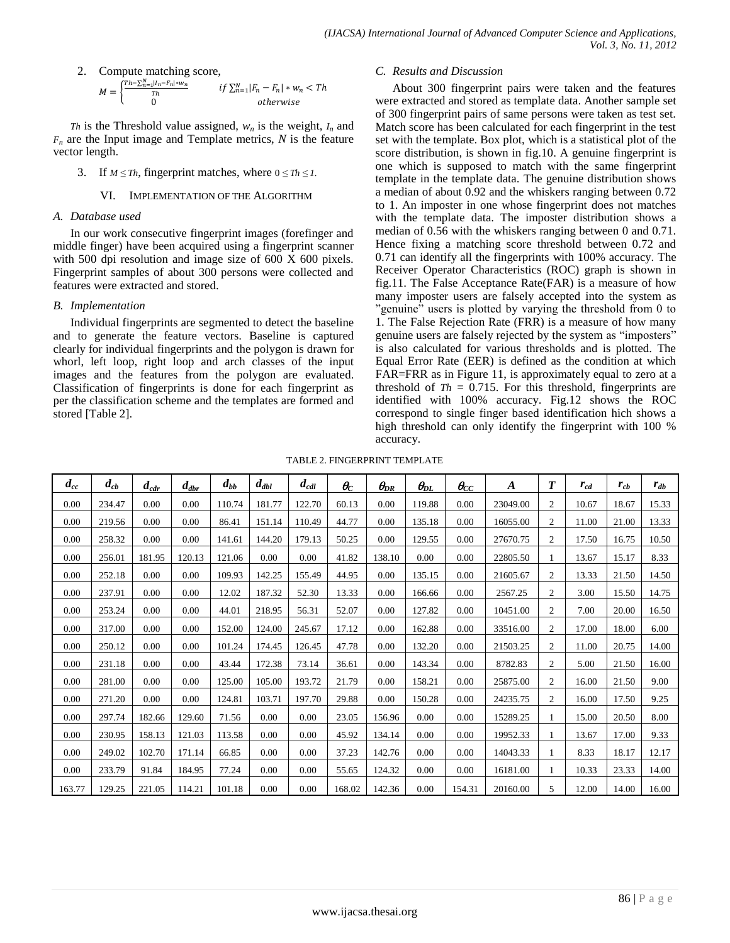2. Compute matching score,

$$
M = \begin{cases} \frac{Th - \sum_{n=1}^{N} |I_n - F_n| * w_n}{Th} & \text{if } \sum_{n=1}^{N} |F_n - F_n| * w_n < Th\\ 0 & \text{otherwise} \end{cases}
$$

*Th* is the Threshold value assigned,  $w_n$  is the weight,  $I_n$  and  $F_n$  are the Input image and Template metrics,  $N$  is the feature vector length.

- 3. If  $M \leq Th$ , fingerprint matches, where  $0 \leq Th \leq I$ .
	- VI. IMPLEMENTATION OF THE ALGORITHM

## *A. Database used*

In our work consecutive fingerprint images (forefinger and middle finger) have been acquired using a fingerprint scanner with 500 dpi resolution and image size of 600 X 600 pixels. Fingerprint samples of about 300 persons were collected and features were extracted and stored.

## *B. Implementation*

Individual fingerprints are segmented to detect the baseline and to generate the feature vectors. Baseline is captured clearly for individual fingerprints and the polygon is drawn for whorl, left loop, right loop and arch classes of the input images and the features from the polygon are evaluated. Classification of fingerprints is done for each fingerprint as per the classification scheme and the templates are formed and stored [Table 2].

## *C. Results and Discussion*

About 300 fingerprint pairs were taken and the features were extracted and stored as template data. Another sample set of 300 fingerprint pairs of same persons were taken as test set. Match score has been calculated for each fingerprint in the test set with the template. Box plot, which is a statistical plot of the score distribution, is shown in fig.10. A genuine fingerprint is one which is supposed to match with the same fingerprint template in the template data. The genuine distribution shows a median of about 0.92 and the whiskers ranging between 0.72 to 1. An imposter in one whose fingerprint does not matches with the template data. The imposter distribution shows a median of 0.56 with the whiskers ranging between 0 and 0.71. Hence fixing a matching score threshold between 0.72 and 0.71 can identify all the fingerprints with 100% accuracy. The Receiver Operator Characteristics (ROC) graph is shown in fig.11. The False Acceptance Rate(FAR) is a measure of how many imposter users are falsely accepted into the system as "genuine" users is plotted by varying the threshold from 0 to 1. The False Rejection Rate (FRR) is a measure of how many genuine users are falsely rejected by the system as "imposters" is also calculated for various thresholds and is plotted. The Equal Error Rate (EER) is defined as the condition at which FAR=FRR as in Figure 11, is approximately equal to zero at a threshold of  $Th = 0.715$ . For this threshold, fingerprints are identified with 100% accuracy. Fig.12 shows the ROC correspond to single finger based identification hich shows a high threshold can only identify the fingerprint with 100 % accuracy.

| TABLE 2. FINGERPRINT TEMPLATE |
|-------------------------------|
|                               |

| $d_{cc}$ | $d_{cb}$ | $d_{cdr}$ | $d_{\textit{dbr}}$ | $d_{bb}$ | $d_{dbl}$ | $d_{cdl}$ | $\theta_{\rm C}$ | $\theta_{\!DR}$ | $\theta_{\!\scriptscriptstyle D L}$ | $\bm{\theta}_{\!CC}$ | $\boldsymbol{A}$ | $\boldsymbol{T}$ | $r_{cd}$ | $r_{cb}$ | $r_{db}$ |
|----------|----------|-----------|--------------------|----------|-----------|-----------|------------------|-----------------|-------------------------------------|----------------------|------------------|------------------|----------|----------|----------|
| 0.00     | 234.47   | 0.00      | 0.00               | 110.74   | 181.77    | 122.70    | 60.13            | 0.00            | 119.88                              | 0.00                 | 23049.00         | $\overline{2}$   | 10.67    | 18.67    | 15.33    |
| 0.00     | 219.56   | 0.00      | 0.00               | 86.41    | 151.14    | 110.49    | 44.77            | 0.00            | 135.18                              | 0.00                 | 16055.00         | $\mathfrak{2}$   | 11.00    | 21.00    | 13.33    |
| 0.00     | 258.32   | 0.00      | 0.00               | 141.61   | 144.20    | 179.13    | 50.25            | 0.00            | 129.55                              | 0.00                 | 27670.75         | 2                | 17.50    | 16.75    | 10.50    |
| 0.00     | 256.01   | 181.95    | 120.13             | 121.06   | 0.00      | 0.00      | 41.82            | 138.10          | 0.00                                | 0.00                 | 22805.50         |                  | 13.67    | 15.17    | 8.33     |
| 0.00     | 252.18   | 0.00      | 0.00               | 109.93   | 142.25    | 155.49    | 44.95            | 0.00            | 135.15                              | 0.00                 | 21605.67         | $\overline{2}$   | 13.33    | 21.50    | 14.50    |
| 0.00     | 237.91   | 0.00      | 0.00               | 12.02    | 187.32    | 52.30     | 13.33            | 0.00            | 166.66                              | 0.00                 | 2567.25          | $\overline{2}$   | 3.00     | 15.50    | 14.75    |
| 0.00     | 253.24   | 0.00      | 0.00               | 44.01    | 218.95    | 56.31     | 52.07            | 0.00            | 127.82                              | 0.00                 | 10451.00         | $\overline{2}$   | 7.00     | 20.00    | 16.50    |
| 0.00     | 317.00   | 0.00      | 0.00               | 152.00   | 124.00    | 245.67    | 17.12            | 0.00            | 162.88                              | 0.00                 | 33516.00         | 2                | 17.00    | 18.00    | 6.00     |
| 0.00     | 250.12   | 0.00      | 0.00               | 101.24   | 174.45    | 126.45    | 47.78            | 0.00            | 132.20                              | 0.00                 | 21503.25         | $\overline{2}$   | 11.00    | 20.75    | 14.00    |
| 0.00     | 231.18   | 0.00      | 0.00               | 43.44    | 172.38    | 73.14     | 36.61            | 0.00            | 143.34                              | 0.00                 | 8782.83          | $\overline{2}$   | 5.00     | 21.50    | 16.00    |
| 0.00     | 281.00   | 0.00      | 0.00               | 125.00   | 105.00    | 193.72    | 21.79            | 0.00            | 158.21                              | 0.00                 | 25875.00         | $\mathfrak{2}$   | 16.00    | 21.50    | 9.00     |
| 0.00     | 271.20   | 0.00      | 0.00               | 124.81   | 103.71    | 197.70    | 29.88            | 0.00            | 150.28                              | 0.00                 | 24235.75         | $\overline{2}$   | 16.00    | 17.50    | 9.25     |
| 0.00     | 297.74   | 182.66    | 129.60             | 71.56    | 0.00      | 0.00      | 23.05            | 156.96          | 0.00                                | 0.00                 | 15289.25         |                  | 15.00    | 20.50    | 8.00     |
| 0.00     | 230.95   | 158.13    | 121.03             | 113.58   | 0.00      | 0.00      | 45.92            | 134.14          | 0.00                                | 0.00                 | 19952.33         |                  | 13.67    | 17.00    | 9.33     |
| 0.00     | 249.02   | 102.70    | 171.14             | 66.85    | 0.00      | 0.00      | 37.23            | 142.76          | 0.00                                | 0.00                 | 14043.33         |                  | 8.33     | 18.17    | 12.17    |
| 0.00     | 233.79   | 91.84     | 184.95             | 77.24    | 0.00      | 0.00      | 55.65            | 124.32          | 0.00                                | 0.00                 | 16181.00         |                  | 10.33    | 23.33    | 14.00    |
| 163.77   | 129.25   | 221.05    | 114.21             | 101.18   | 0.00      | 0.00      | 168.02           | 142.36          | 0.00                                | 154.31               | 20160.00         | 5                | 12.00    | 14.00    | 16.00    |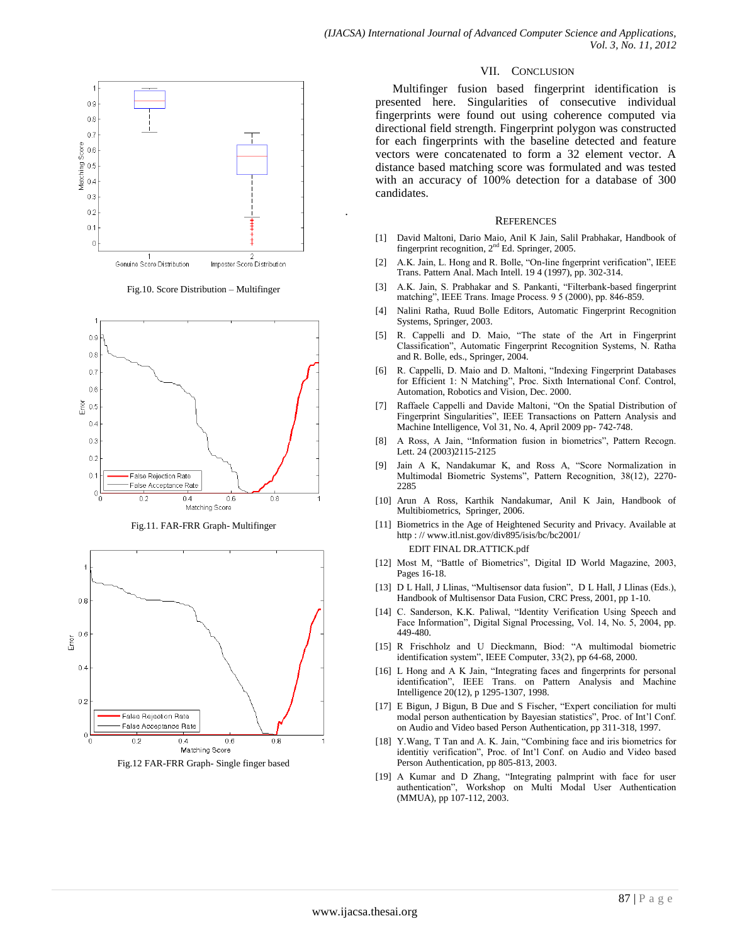

.

Fig.10. Score Distribution – Multifinger



Fig.11. FAR-FRR Graph- Multifinger



Fig.12 FAR-FRR Graph- Single finger based

#### VII. CONCLUSION

Multifinger fusion based fingerprint identification is presented here. Singularities of consecutive individual fingerprints were found out using coherence computed via directional field strength. Fingerprint polygon was constructed for each fingerprints with the baseline detected and feature vectors were concatenated to form a 32 element vector. A distance based matching score was formulated and was tested with an accuracy of 100% detection for a database of 300 candidates.

#### **REFERENCES**

- [1] David Maltoni, Dario Maio, Anil K Jain, Salil Prabhakar, Handbook of fingerprint recognition, 2nd Ed. Springer, 2005.
- [2] A.K. Jain, L. Hong and R. Bolle, "On-line fngerprint verification", IEEE Trans. Pattern Anal. Mach Intell. 19 4 (1997), pp. 302-314.
- [3] A.K. Jain, S. Prabhakar and S. Pankanti, "Filterbank-based fingerprint matching", IEEE Trans. Image Process. 9 5 (2000), pp. 846-859.
- [4] Nalini Ratha, Ruud Bolle Editors, Automatic Fingerprint Recognition Systems, Springer, 2003.
- [5] R. Cappelli and D. Maio, "The state of the Art in Fingerprint Classification", Automatic Fingerprint Recognition Systems, N. Ratha and R. Bolle, eds., Springer, 2004.
- [6] R. Cappelli, D. Maio and D. Maltoni, "Indexing Fingerprint Databases for Efficient 1: N Matching", Proc. Sixth International Conf. Control, Automation, Robotics and Vision, Dec. 2000.
- [7] Raffaele Cappelli and Davide Maltoni, "On the Spatial Distribution of Fingerprint Singularities", IEEE Transactions on Pattern Analysis and Machine Intelligence, Vol 31, No. 4, April 2009 pp- 742-748.
- [8] A Ross, A Jain, "Information fusion in biometrics", Pattern Recogn. Lett. 24 (2003)2115-2125
- [9] Jain A K, Nandakumar K, and Ross A, "Score Normalization in Multimodal Biometric Systems", Pattern Recognition, 38(12), 2270- 2285
- [10] Arun A Ross, Karthik Nandakumar, Anil K Jain, Handbook of Multibiometrics, Springer, 2006.
- [11] Biometrics in the Age of Heightened Security and Privacy. Available at http : /[/ www.itl.nist.gov/div895/isis/bc/bc2001/](http://www.itl.nist.gov/div895/isis/bc/bc2001/) EDIT FINAL DR.ATTICK.pdf
- [12] Most M, "Battle of Biometrics", Digital ID World Magazine, 2003, Pages 16-18.
- [13] D L Hall, J Llinas, "Multisensor data fusion", D L Hall, J Llinas (Eds.), Handbook of Multisensor Data Fusion, CRC Press, 2001, pp 1-10.
- [14] C. Sanderson, K.K. Paliwal, "Identity Verification Using Speech and Face Information", Digital Signal Processing, Vol. 14, No. 5, 2004, pp. 449-480.
- [15] R Frischholz and U Dieckmann, Biod: "A multimodal biometric identification system", IEEE Computer, 33(2), pp 64-68, 2000.
- [16] L Hong and A K Jain, "Integrating faces and fingerprints for personal identification", IEEE Trans. on Pattern Analysis and Machine Intelligence 20(12), p 1295-1307, 1998.
- [17] E Bigun, J Bigun, B Due and S Fischer, "Expert conciliation for multi modal person authentication by Bayesian statistics", Proc. of Int'l Conf. on Audio and Video based Person Authentication, pp 311-318, 1997.
- [18] Y.Wang, T Tan and A. K. Jain, "Combining face and iris biometrics for identitiy verification", Proc. of Int'l Conf. on Audio and Video based Person Authentication, pp 805-813, 2003.
- [19] A Kumar and D Zhang, "Integrating palmprint with face for user authentication", Workshop on Multi Modal User Authentication (MMUA), pp 107-112, 2003.